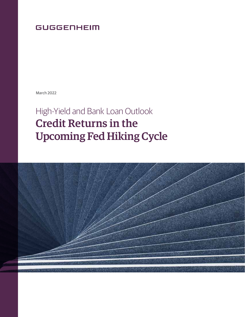# **GUGGENHEIM**

March 2022

# High-Yield and Bank Loan Outlook Credit Returns in the Upcoming Fed Hiking Cycle

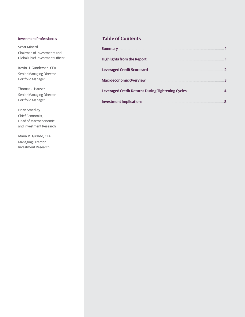#### Investment Professionals

Scott Minerd Chairman of Investments and Global Chief Investment Officer

Kevin H. Gundersen, CFA Senior Managing Director, Portfolio Manager

Thomas J. Hauser Senior Managing Director, Portfolio Manager

# Brian Smedley

Chief Economist, Head of Macroeconomic and Investment Research

Maria M. Giraldo, CFA Managing Director, Investment Research

# **Table of Contents**

| <b>Summary</b>                                           |                |
|----------------------------------------------------------|----------------|
| <b>Highlights from the Report</b>                        |                |
| <b>Leveraged Credit Scorecard</b>                        | $\overline{2}$ |
| <b>Macroeconomic Overview</b>                            | 3              |
| <b>Leveraged Credit Returns During Tightening Cycles</b> | 4              |
| <b>Investment Implications</b>                           | 8              |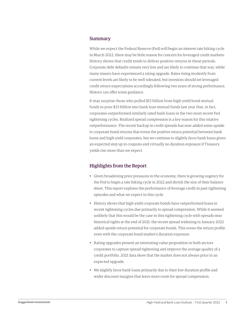# Summary

While we expect the Federal Reserve (Fed) will begin an interest rate hiking cycle in March 2022, there may be little reason for concern for leveraged credit markets: History shows that credit tends to deliver positive returns in these periods. Corporate debt defaults remain very low and are likely to continue that way, while many issuers have experienced a rating upgrade. Rates rising modestly from current levels are likely to be well tolerated, but investors should set leveraged credit return expectations accordingly following two years of strong performance. History can offer some guidance.

It may surprise those who pulled \$15 billion from high-yield bond mutual funds to pour \$33 billion into bank loan mutual funds last year that, in fact, corporates outperformed similarly rated bank loans in the two most recent Fed tightening cycles. Realized spread compression is a key reason for this relative outperformance. The recent backup in credit spreads has now added some upside to corporate bond returns that evens the positive return potential between bank loans and high-yield corporates, but we continue to slightly favor bank loans given an expected step up in coupons and virtually no duration exposure if Treasury yields rise more than we expect.

# Highlights from the Report

- Given broadening price pressures in the economy, there is growing urgency for the Fed to begin a rate hiking cycle in 2022 and shrink the size of their balance sheet. This report explores the performance of leverage credit in past tightening episodes and what we expect in this cycle.
- History shows that high-yield corporate bonds have outperformed loans in recent tightening cycles due primarily to spread compression. While it seemed unlikely that this would be the case in this tightening cycle with spreads near historical tights at the end of 2021, the recent spread widening in January 2022 added upside return potential for corporate bonds. This evens the return profile even with the corporate bond market's duration exposure.
- Rating upgrades present an interesting value proposition in both sectors corporates to capture spread tightening and improve the average quality of a credit portfolio. 2021 data show that the market does not always price in an expected upgrade.
- We slightly favor bank loans primarily due to their low duration profile and wider discount margins that leave more room for spread compression.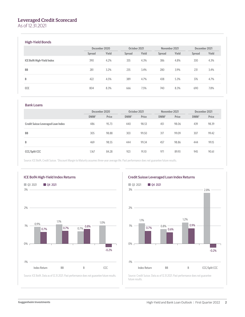# Leveraged Credit Scorecard

As of 12.31.2021

### High-Yield Bonds

|                                  | December 2020 |       | October 2021 |       | November 2021 |       | December 2021 |       |
|----------------------------------|---------------|-------|--------------|-------|---------------|-------|---------------|-------|
|                                  | Spread        | Yield | Spread       | Yield | Spread        | Yield | Spread        | Yield |
| <b>ICE BofA High-Yield Index</b> | 390           | 4.2%  | 335          | 4.3%  | 386           | 4.8%  | 330           | 4.3%  |
| <b>BB</b>                        | 281           | 3.2%  | 235          | 3.4%  | 280           | 3.9%  | 231           | 3.4%  |
| B                                | 422           | 4.5%  | 389          | 4.7%  | 438           | 5.3%  | 376           | 4.7%  |
| CCC                              | 804           | 8.3%  | 666          | 7.5%  | 740           | 8.3%  | 690           | 7.8%  |

#### Bank Loans

|                                           | December 2020 |       | October 2021 |       | November 2021 |       | December 2021 |       |
|-------------------------------------------|---------------|-------|--------------|-------|---------------|-------|---------------|-------|
|                                           | DMM*          | Price | DMM*         | Price | DMM*          | Price | DMM*          | Price |
| <b>Credit Suisse Leveraged Loan Index</b> | 486           | 95.73 | 440          | 98.53 | 451           | 98.06 | 439           | 98.39 |
| <b>BB</b>                                 | 305           | 98.88 | 303          | 99.50 | 317           | 99.09 | 307           | 99.42 |
| B                                         | 469           | 98.55 | 444          | 99.34 | 457           | 98.86 | 444           | 99.15 |
| <b>CCC/Split CCC</b>                      | 1,167         | 84.28 | 923          | 91.10 | 971           | 89.93 | 945           | 90.61 |

Source: ICE BofA, Credit Suisse. \*Discount Margin to Maturity assumes three-year average life. Past performance does not guarantee future results.





Source: Credit Suisse. Data as of 12.31.2021. Past performance does not guarantee future results.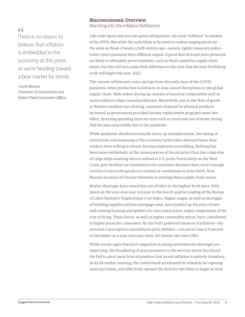# $66$

There is no reason to believe that inflation is embedded in the economy at this point, or we're heading toward a bear market for bonds.

– Scott Minerd,

*Chairman of Investments and Global Chief Investment Officer*

# Macroeconomic Overview

Marching into the Inflation Battlezone

Like wide lapels and avocado-green refrigerators, the word "inflation" is redolent of the 1970s. But while the tools likely to be used to combat surging prices are the same as those of nearly a half-century ago—namely, tighter monetary policy today's price pressures have different origins. A good deal of recent price pressures are likely to ultimately prove transitory, such as those caused by supply-chain issues, but this will now make little difference to the view that the next Fed hiking cycle will begin this year, 2022.

The current inflationary wave springs from the early days of the COVID pandemic when production lockdowns in Asia caused disruptions in the global supply chain. With orders drying up, makers of essential components such as semiconductor chips ceased production. Meanwhile, just as the flow of goods to Western markets was slowing, consumer demand for physical products increased as government-provided income-replacement programs went into effect, diverting spending from services such as travel and out-of-home dining that became unavailable due to the pandemic.

While pandemic shutdowns initially drove up unemployment, the easing of restrictions and reopening of the economy fueled labor demand faster than workers were willing to return, leaving employers scrambling. Nothing has been more emblematic of the consequences of the situation than the conga-line of cargo ships awaiting slots to unload at U.S. ports. Particularly on the West Coast, port facilities are inundated with containers because there aren't enough truckers to move the goods nor workers at warehouses to store them. Now, Russia's invasion of Ukraine threatens to prolong these supply chain issues.

Worker shortages have raised the cost of labor to the highest level since 2001, based on the year-over-year increase in the fourth quarter reading of the Bureau of Labor Statistics' Employment Cost Index. Higher wages, as well as shortages of building supplies and low mortgage rates, have pushed up the price of new and existing housing and spilled over into rental prices, major components of the cost of living. These forces, as well as higher commodity prices, have contributed to higher prices for consumers. By the Fed's preferred measure of inflation—the personal consumption expenditures price deflator—core prices rose 4.9 percent in December on a year-over-year basis, the fastest rate since 1983.

While we see signs that port congestion is easing and materials shortages are improving, the broadening of price pressures to the services sector has forced the Fed to pivot away from its position that recent inflation is entirely transitory. At its December meeting, the central bank accelerated its schedule for tapering asset purchases, and effectively opened the door for rate hikes to begin as soon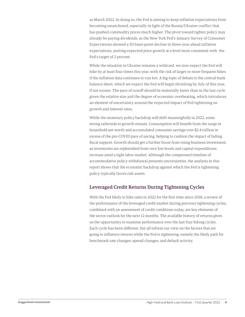as March 2022. In doing so, the Fed is aiming to keep inflation expectations from becoming unanchored, especially in light of the Russia/Ukraine conflict that has pushed commodity prices much higher. The pivot toward tighter policy may already be paying dividends, as the New York Fed's January Survey of Consumer Expectations showed a 50 basis-point decline in three-year ahead inflation expectations, putting expected price growth at a level more consistent with the Fed's target of 2 percent.

While the situation in Ukraine remains a wildcard, we now expect the Fed will hike by at least four times this year, with the risk of larger or more frequent hikes if the inflation data continues to run hot. A big topic of debate is the central bank balance sheet, which we expect the Fed will begin shrinking by July of this year, if not sooner. The pace of runoff should be materially faster than in the last cycle given the relative size and the degree of economic overheating, which introduces an element of uncertainty around the expected impact of Fed tightening on growth and interest rates.

While the monetary policy backdrop will shift meaningfully in 2022, some strong tailwinds to growth remain. Consumption will benefit from the surge in household net worth and accumulated consumer savings over \$2.4 trillion in excess of the pre-COVID pace of saving, helping to cushion the impact of fading fiscal support. Growth should get a further boost from rising business investment, as inventories are replenished from very low levels and capital expenditures increase amid a tight labor market. Although the compressed timeline of accommodative policy withdrawal presents uncertainties, the analysis in this report shows that the economic backdrop against which the Fed is tightening policy typically favors risk assets.

# Leveraged Credit Returns During Tightening Cycles

With the Fed likely to hike rates in 2022 for the first time since 2018, a review of the performance of the leveraged credit market during previous tightening cycles, combined with an assessment of credit conditions today, are key elements of the sector outlook for the next 12 months. The available history of returns gives us the opportunity to examine performance over the last four hiking cycles. Each cycle has been different, but all inform our view on the factors that are going to influence returns while the Fed is tightening; namely the likely path for benchmark rate changes, spread changes, and default activity.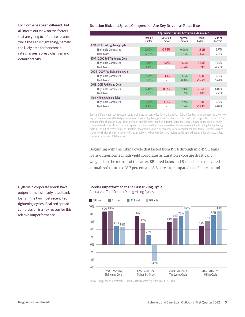all inform our view on the factors that are going to influence returns while the Fed is tightening; namely the likely path for benchmark rate changes, spread changes and default activity.

#### Each cycle has been different, but Duration Risk and Spread Compression Are Key Drivers as Rates Rise

|                                  | <b>Approximate Return Attribution, Annualized</b> |                           |                          |                  |                          |  |  |  |
|----------------------------------|---------------------------------------------------|---------------------------|--------------------------|------------------|--------------------------|--|--|--|
|                                  | Income<br>Factor                                  | <b>Duration</b><br>Factor | Spread<br><b>Factors</b> | Credit<br>Losses | Sum of<br><b>Factors</b> |  |  |  |
| 1994 - 1995 Fed Tightening Cycle |                                                   |                           |                          |                  |                          |  |  |  |
| <b>High Yield Corporates</b>     | 10.17%                                            | $-5.88%$                  | $0.00\%$                 | $-1.58%$         | 2.71%                    |  |  |  |
| Bank Loans                       | 6.70%                                             |                           | 0.95%                    | $-0.65%$         | 7.01%                    |  |  |  |
| 1999 - 2000 Fed Tightening Cycle |                                                   |                           |                          |                  |                          |  |  |  |
| <b>High Yield Corporates</b>     | 11.37%                                            | $-1.87%$                  | $-10.13%$                | $-3.96%$         | $-4.59%$                 |  |  |  |
| Bank Loans                       | 8.16%                                             |                           | $-1.74%$                 | $-1.89%$         | 4.53%                    |  |  |  |
| 2004 - 2007 Fed Tightening Cycle |                                                   |                           |                          |                  |                          |  |  |  |
| <b>High Yield Corporates</b>     | 7.64%                                             | $-1.64%$                  | 1.15%                    | $-1.14%$         | 6.01%                    |  |  |  |
| Bank Loans                       | 5.73%                                             |                           | 0.41%                    | $-0.45%$         | 5.69%                    |  |  |  |
| 2015 - 2019 Fed Hiking Cycle     |                                                   |                           |                          |                  |                          |  |  |  |
| <b>High Yield Corporates</b>     | 6.44%                                             | $-0.77%$                  | 2.41%                    | $-2.06%$         | 6.02%                    |  |  |  |
| Bank Loans                       | 5.03%                                             |                           | 0.99%                    | $-0.48%$         | 5.53%                    |  |  |  |
| Next Hiking Cycle, modeled       |                                                   |                           |                          |                  |                          |  |  |  |
| <b>High Yield Corporates</b>     | 5.27%                                             | $-1.01%$                  | 2.21%                    | $-1.38%$         | 5.10%                    |  |  |  |
| <b>Bank Loans</b>                | 4.84%                                             |                           | 1.86%                    | $-0.63%$         | 6.07%                    |  |  |  |

Source: Differences in each sector's rating profile are not controlled for in this analysis. Table is for illustrative purposes to show how key factors may have affected performance in previous tightening cycles. Duration factor for high-yield corporates is based on the product of the change in 5-year Treasury yields and the index modified duration. Spread factors are based on the product of the change in credit spreads and the index spread duration. Credit losses are based on the average default rate during the tightening cycle, net of a 45% recovery rate assumption for corporates and 70% recovery rate assumption for bank loans. Other factors not shown here include index turnover, refinancing activity, roll-down effect, and factors due to approximating index characteristics, which can also affect total returns.

Beginning with the hiking cycle that lasted from 1994 through mid-1995, bank loans outperformed high yield corporates as duration exposure drastically weighed on the returns of the latter. BB-rated loans and B-rated loans delivered annualized returns of 8.7 percent and 8.8 percent, compared to 4.9 percent and

#### Bonds Outperformed in the Last Hiking Cycle

Annualized Total Return During Hiking Cycles



Source: Guggenheim Investments, Credit Suisse, Bloomberg. Data as of 12.23.2021

High-yield corporate bonds have outperformed similarly rated bank loans in the two most recent Fed tightening cycles. Realized spread compression is a key reason for this relative outperformance.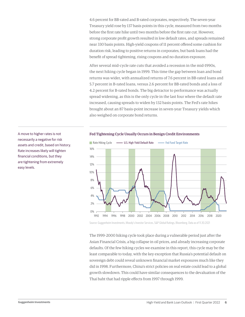4.6 percent for BB-rated and B-rated corporates, respectively. The seven-year Treasury yield rose by 137 basis points in this cycle, measured from two months before the first rate hike until two months before the first rate cut. However, strong corporate profit growth resulted in low default rates, and spreads remained near 330 basis points. High-yield coupons of 11 percent offered some cushion for duration risk, leading to positive returns in corporates, but bank loans had the benefit of spread tightening, rising coupons and no duration exposure.

After several mid-cycle rate cuts that avoided a recession in the mid-1990s, the next hiking cycle began in 1999. This time the gap between loan and bond returns was wider, with annualized returns of 7.6 percent in BB-rated loans and 5.7 percent in B-rated loans, versus 2.6 percent for BB-rated bonds and a loss of 4.2 percent for B-rated bonds. The big detractor to performance was actually spread widening, as this is the only cycle in the last four where the default rate increased, causing spreads to widen by 132 basis points. The Fed's rate hikes brought about an 87 basis-point increase in seven-year Treasury yields which also weighed on corporate bond returns.

Rate Hiking Cycle 0% 2% 4% 6% 8% 10% 12% 14% 16% 1992 1994 1996 1998 2000 2002 2004 2006 2008 2010 2012 2014 2016 2018 2020 U.S. High Yield Default Rate Fed Fund Target Rate

A move to higher rates is not Fed Tightening Cycle Usually Occurs in Benign Credit Environments

Source: Guggenheim Investments, Moody's Investor Services, S&P Global Ratings, Bloomberg. Data as of 11.30.2021

The 1999–2000 hiking cycle took place during a vulnerable period just after the Asian Financial Crisis, a big collapse in oil prices, and already increasing corporate defaults. Of the few hiking cycles we examine in this report, this cycle may be the least comparable to today, with the key exception that Russia's potential default on sovereign debt could reveal unknown financial market exposures much like they did in 1998. Furthermore, China's strict policies on real estate could lead to a global growth slowdown. This could have similar consequences to the devaluation of the Thai baht that had ripple effects from 1997 through 1999.

necessarily a negative for risk assets and credit, based on history. Rate increases likely will tighten financial conditions, but they are tightening from extremely easy levels.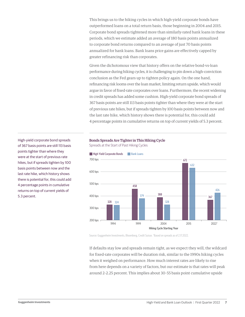This brings us to the hiking cycles in which high-yield corporate bonds have outperformed loans on a total return basis, those beginning in 2004 and 2015. Corporate bond spreads tightened more than similarly-rated bank loans in these periods, which we estimate added an average of 180 basis points annualized to corporate bond returns compared to an average of just 70 basis points annualized for bank loans. Bank loans price gains are effectively capped by greater refinancing risk than corporates.

Given the dichotomous view that history offers on the relative bond-vs-loan performance during hiking cycles, it is challenging to pin down a high-conviction conclusion as the Fed gears up to tighten policy again. On the one hand, refinancing risk looms over the loan market, limiting return upside, which would argue in favor of fixed-rate corporates over loans. Furthermore, the recent widening in credit spreads has added some cushion. High-yield corporate bond spreads of 367 basis points are still 113 basis points tighter than where they were at the start of previous rate hikes, but if spreads tighten by 100 basis points between now and the last rate hike, which history shows there is potential for, this could add 4 percentage points in cumulative returns on top of current yields of 5.3 percent.

High-yield corporate bond spreads of 367 basis points are still 113 basis points tighter than where they were at the start of previous rate hikes, but if spreads tighten by 100 basis points between now and the last rate hike, which history shows there is potential for, this could add 4 percentage points in cumulative returns on top of current yields of 5.3 percent.

### Bonds Spreads Are Tighter in This Hiking Cycle

Spreads at the Start of Past Hiking Cycles



Source: Guggenheim Investments, Bloomberg, Credit Suisse. \*Based on spreads as of 2.17.2022.

If defaults stay low and spreads remain tight, as we expect they will, the wildcard for fixed-rate corporates will be duration risk, similar to the 1990s hiking cycles when it weighed on performance. How much interest rates are likely to rise from here depends on a variety of factors, but our estimate is that rates will peak around 2–2.25 percent. This implies about 30–55 basis point cumulative upside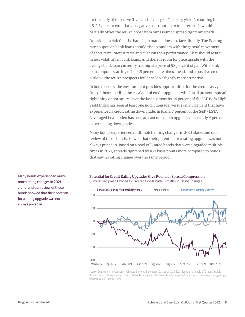for the belly of the curve (five- and seven-year Treasury yields), resulting in 1.5–2.5 percent cumulative negative contribution to total return. It would partially offset the return boost from our assumed spread tightening path.

Duration is a risk that the bank loan market does not face directly. The floatingrate coupon on bank loans should rise in tandem with the general movement of short-term interest rates and cushion their performance. That should result in less volatility in bank loans. And there is room for price upside with the average bank loan currently trading at a price of 98 percent of par. With bank loan coupons starting off at 4.5 percent, rate hikes ahead, and a positive credit outlook, the return prospects for loans look slightly more attractive.

In both sectors, the environment provides opportunities for the credit savvy. One of those is riding the escalator of credit upgrades, which still presents spread tightening opportunity. Over the last six months, 14 percent of the ICE BofA High Yield Index has seen at least one notch upgrade, versus only 5 percent that have experienced a credit rating downgrade. In loans, 7 percent of the S&P / LSTA Leveraged Loan index has seen at least one notch upgrade versus only 4 percent experiencing downgrades.

Many bonds experienced multi-notch rating changes in 2021 alone, and our review of those bonds showed that their potential for a rating upgrade was not always priced in. Based on a pool of B-rated bonds that were upgraded multiple times in 2021, spreads tightened by 100 basis points more compared to bonds that saw no rating change over the same period.



Potential for Credit Rating Upgrades Give Room for Spread Compression

Cumulative Spread Change for B-rated Bonds With vs. Without Rating Changes

Source: Guggenheim Investments, ICE Index Services, Bloomberg. Data as of 12.23.2021. Based on a sample of 12 index-eligible B-rated bonds that experienced muti-notch credit rating upgrades versus 12 index-eligible B-rated bonds that saw no rating change between Q1 2021 and Q4 2021.

Many bonds experienced multinotch rating changes in 2021 alone, and our review of those bonds showed that their potential for a rating upgrade was not always priced in.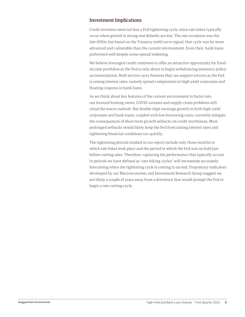# Investment Implications

Credit investors need not fear a Fed tightening cycle, since rate hikes typically occur when growth is strong and defaults are low. The one exception was the late 1990s, but based on the Treasury yield curve signal, that cycle was far more advanced and vulnerable than the current environment. Even then, bank loans performed well despite some spread widening.

We believe leveraged credit continues to offer an attractive opportunity for fixedincome portfolios as the Fed is only about to begin withdrawing monetary policy accommodation. Both sectors carry features that can support returns as the Fed is raising interest rates, namely spread compression in high-yield corporates and floating coupons in bank loans.

As we think about key features of the current environment to factor into our forward-looking views, COVID variants and supply-chain problems still cloud the macro outlook. But double-digit earnings growth in both high-yield corporates and bank loans, coupled with low borrowing costs, currently mitigate the consequences of short-term growth setbacks on credit worthiness. More prolonged setbacks would likely keep the Fed from raising interest rates and tightening financial conditions too quickly.

The tightening periods studied in our report include only those months in which rate hikes took place and the period in which the Fed was on hold just before cutting rates. Therefore, capturing the performance that typically occurs in periods we have defined as "rate hiking cycles" will necessitate accurately forecasting when the tightening cycle is coming to an end. Proprietary indicators developed by our Macroeconomic and Investment Research Group suggest we are likely a couple of years away from a downturn that would prompt the Fed to begin a rate cutting cycle.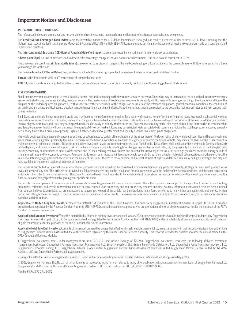# Important Notices and Disclosures

#### **INDEX AND OTHER DEFINITIONS**

The referenced indices are unmanaged and not available for direct investment. Index performance does not reflect transaction costs, fees or expenses.

The Credit Suisse Leveraged Loan Index tracks the investable market of the U.S. dollar denominated leveraged loan market. It consists of issues rated "5B" or lower, meaning that the highest rated issues included in this index are Moody's/S&P ratings of Baa1/BB+ or Ba1/ BBB+. All loans are funded term loans with a tenor of at least one year and are made by issuers domiciled in developed countries.

The **Intercontinental Exchange (ICE) Bank of America High-Yield Index** is a commonly used benchmark index for high-yield corporate bonds.

A **basis point (bps)** is a unit of measure used to describe the percentage change in the value or rate of an instrument. One basis point is equivalent to 0.01%.

The three-year **discount margin to maturity (dmm)**, also referred to as discount margin, is the yield-to-refunding of a loan facility less the current three-month Libor rate, assuming a three year average life for the loan.

The **London Interbank Offered Rate (Libor)** is a benchmark rate that a select group of banks charge each other for unsecured short-term funding.

**Spread** is the difference in yield to a Treasury bond of comparable maturity.

**EBITDA**, which stands for earnings before interest, taxes, depreciation and amortization, is a commonly used proxy for the earning potential of a business.

#### **RISK CONSIDERATIONS**

Fixed-income investments are subject to credit, liquidity, interest rate and, depending on the instrument, counter-party risk. These risks may be increased to the extent fixed-income investments are concentrated in any one issuer, industry, region or country. The market value of fixed-income investments generally will fluctuate with, among other things, the financial condition of the obligors on the underlying debt obligations or, with respect to synthetic securities, of the obligors on or issuers of the reference obligations, general economic conditions, the condition of certain financial markets, political events, developments or trends in any particular industry. Fixed-income investments are subject to the possibility that interest rates could rise, causing their values to decline.

Bank loans are generally below investment grade and may become nonperforming or impaired for a variety of reasons. Nonperforming or impaired loans may require substantial workout negotiations or restructuring that may entail, among other things, a substantial reduction in the interest rate and/or a substantial write down of the principal of the loan. In addition, certain bank loans are highly customized and, thus, may not be purchased or sold as easily as publicly-traded securities. Any secondary trading market also may be limited, and there can be no assurance that an adequate degree of liquidity will be maintained. The transferability of certain bank loans may be restricted. Risks associated with bank loans include the fact that prepayments may generally occur at any time without premium or penalty. High-yield debt securities have greater credit and liquidity risk than investment grade obligations.

High-yield debt securities are generally unsecured and may be subordinated to certain other obligations of the issuer thereof. The lower rating of high-yield debt securities and below investment grade loans reflects a greater possibility that adverse changes in the financial condition of an issuer or in general economic conditions, or both, may impair the ability of the issuer thereof to make payments of principal or interest. Securities rated below investment grade are commonly referred to as "junk bonds." Risks of high-yield debt securities may include (among others): (i) limited liquidity and secondary market support, (ii) substantial market place volatility resulting from changes in prevailing interest rates, (iii) the possibility that earnings of the high-yield debt security issuer may be insufficient to meet its debt service, and (iv) the declining creditworthiness and potential for insolvency of the issuer of such high-yield debt securities during periods of rising interest rates and/ or economic downturn. An economic downturn or an increase in interest rates could severely disrupt the market for high-yield debt securities and adversely affect the value of outstanding high-yield debt securities and the ability of the issuers thereof to repay principal and interest. Issuers of high-yield debt securities may be highly leveraged and may not have available to them more traditional methods of financing.

This article is distributed for informational or educational purposes only and should not be considered a recommendation of any particular security, strategy or investment product, or as investing advice of any kind. This article is not provided in a fiduciary capacity, may not be relied upon for or in connection with the making of investment decisions, and does not constitute a solicitation of an offer to buy or sell securities. The content contained herein is not intended to be and should not be construed as legal or tax advice and/or a legal opinion. Always consult a financial, tax and/or legal professional regarding your specific situation.

This article contains opinions of the author but not necessarily those of Guggenheim Partners or its subsidiaries. The author's opinions are subject to change without notice. Forward looking statements, estimates, and certain information contained herein are based upon proprietary and non-proprietary research and other sources. Information contained herein has been obtained from sources believed to be reliable, but are not assured as to accuracy. No part of this article may be reproduced in any form, or referred to in any other publication, without express written permission of Guggenheim Partners, LLC. Past performance is not indicative of future results. There is neither representation nor warranty as to the current accuracy of, nor liability for, decisions based on such information.

**Applicable to United Kingdom investors:** Where this material is distributed in the United Kingdom, it is done so by Guggenheim Investment Advisers (Europe) Ltd., a U.K. Company authorized and regulated by the Financial Conduct Authority (FRN 499798) and is directed only at persons who are professional clients or eligible counterparties for the purposes of the FCA's Conduct of Business Sourcebook.

**Applicable to European Investors:** Where this material is distributed to existing investors and pre 1 January 2021 prospect relationships based in mainland Europe, it is done so by Guggenheim Investment Advisers (Europe) Ltd., a U.K. Company authorized and regulated by the Financial Conduct Authority (FRN 499798) and is directed only at persons who are professional clients or eligible counterparties for the purposes of the FCA's Conduct of Business Sourcebook.

Applicable to Middle East investors: Contents of this report prepared by Guggenheim Partners Investment Management, LLC, a registered entity in their respective jurisdiction, and affiliate of Guggenheim Partners Middle East Limited, the Authorized Firm regulated by the Dubai Financial Services Authority. This report is intended for qualified investor use only as defined in the DFSA Conduct of Business Module.

1. Guggenheim Investments assets under management are as of 12.31.2021 and include leverage of \$20.7bn. Guggenheim Investments represents the following affiliated investment management businesses: Guggenheim Partners Investment Management, LLC, Security Investors, LLC, Guggenheim Funds Distributors, LLC, Guggenheim Funds Investment Advisors, LLC, Guggenheim Corporate Funding, LLC, Guggenheim Partners Europe Limited, Guggenheim Partners Fund Management (Europe) Limited, Guggenheim Partners Japan Limited, GS GAMMA Advisors, LLC, and Guggenheim Partners India Management.

2. Guggenheim Partners under management are as of 12.31.2021 and include consulting services for clients whose assets are valued at approximately \$77bn.

© 2022, Guggenheim Partners, LLC. No part of this article may be reproduced in any form, or referred to in any other publication, without express written permission of Guggenheim Partners, LLC. Guggenheim Funds Distributors, LLC is an affiliate of Guggenheim Partners, LLC. For information, call 800.345.7999 or 800.820.0888.

Member FINRA/SIPC GPIM 50912